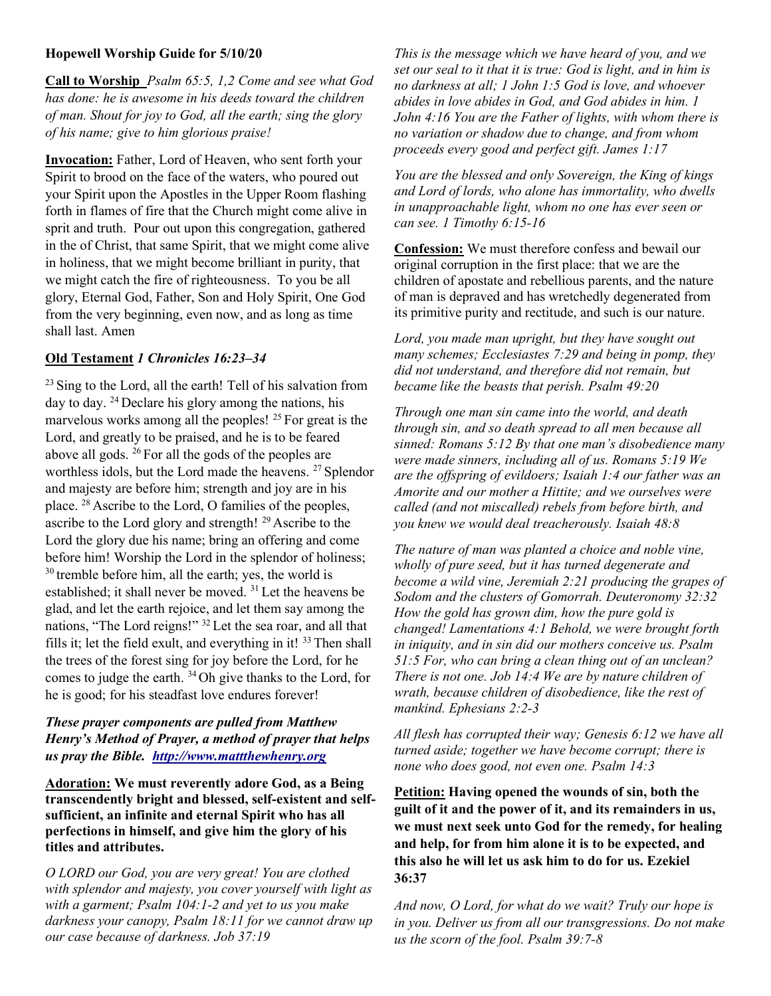### Hopewell Worship Guide for 5/10/20

Call to Worship Psalm 65:5, 1,2 Come and see what God has done: he is awesome in his deeds toward the children of man. Shout for joy to God, all the earth; sing the glory of his name; give to him glorious praise!

Invocation: Father, Lord of Heaven, who sent forth your Spirit to brood on the face of the waters, who poured out your Spirit upon the Apostles in the Upper Room flashing forth in flames of fire that the Church might come alive in sprit and truth. Pour out upon this congregation, gathered in the of Christ, that same Spirit, that we might come alive in holiness, that we might become brilliant in purity, that we might catch the fire of righteousness. To you be all glory, Eternal God, Father, Son and Holy Spirit, One God from the very beginning, even now, and as long as time shall last. Amen

### Old Testament 1 Chronicles 16:23–34

 $23$  Sing to the Lord, all the earth! Tell of his salvation from day to day. <sup>24</sup>Declare his glory among the nations, his marvelous works among all the peoples!  $^{25}$  For great is the Lord, and greatly to be praised, and he is to be feared above all gods. <sup>26</sup> For all the gods of the peoples are worthless idols, but the Lord made the heavens. <sup>27</sup> Splendor and majesty are before him; strength and joy are in his place. <sup>28</sup>Ascribe to the Lord, O families of the peoples, ascribe to the Lord glory and strength! <sup>29</sup> Ascribe to the Lord the glory due his name; bring an offering and come before him! Worship the Lord in the splendor of holiness;  $30$  tremble before him, all the earth; yes, the world is established; it shall never be moved. <sup>31</sup> Let the heavens be glad, and let the earth rejoice, and let them say among the nations, "The Lord reigns!" <sup>32</sup>Let the sea roar, and all that fills it; let the field exult, and everything in it!  $33$  Then shall the trees of the forest sing for joy before the Lord, for he comes to judge the earth. <sup>34</sup>Oh give thanks to the Lord, for he is good; for his steadfast love endures forever!

# These prayer components are pulled from Matthew Henry's Method of Prayer, a method of prayer that helps us pray the Bible. http://www.mattthewhenry.org

Adoration: We must reverently adore God, as a Being transcendently bright and blessed, self-existent and selfsufficient, an infinite and eternal Spirit who has all perfections in himself, and give him the glory of his titles and attributes.

O LORD our God, you are very great! You are clothed with splendor and majesty, you cover yourself with light as with a garment; Psalm 104:1-2 and yet to us you make darkness your canopy, Psalm 18:11 for we cannot draw up our case because of darkness. Job 37:19

This is the message which we have heard of you, and we set our seal to it that it is true: God is light, and in him is no darkness at all; 1 John 1:5 God is love, and whoever abides in love abides in God, and God abides in him. 1 John 4:16 You are the Father of lights, with whom there is no variation or shadow due to change, and from whom proceeds every good and perfect gift. James 1:17

You are the blessed and only Sovereign, the King of kings and Lord of lords, who alone has immortality, who dwells in unapproachable light, whom no one has ever seen or can see. 1 Timothy 6:15-16

Confession: We must therefore confess and bewail our original corruption in the first place: that we are the children of apostate and rebellious parents, and the nature of man is depraved and has wretchedly degenerated from its primitive purity and rectitude, and such is our nature.

Lord, you made man upright, but they have sought out many schemes; Ecclesiastes 7:29 and being in pomp, they did not understand, and therefore did not remain, but became like the beasts that perish. Psalm 49:20

Through one man sin came into the world, and death through sin, and so death spread to all men because all sinned: Romans 5:12 By that one man's disobedience many were made sinners, including all of us. Romans 5:19 We are the offspring of evildoers; Isaiah 1:4 our father was an Amorite and our mother a Hittite; and we ourselves were called (and not miscalled) rebels from before birth, and you knew we would deal treacherously. Isaiah 48:8

The nature of man was planted a choice and noble vine, wholly of pure seed, but it has turned degenerate and become a wild vine, Jeremiah 2:21 producing the grapes of Sodom and the clusters of Gomorrah. Deuteronomy 32:32 How the gold has grown dim, how the pure gold is changed! Lamentations 4:1 Behold, we were brought forth in iniquity, and in sin did our mothers conceive us. Psalm 51:5 For, who can bring a clean thing out of an unclean? There is not one. Job 14:4 We are by nature children of wrath, because children of disobedience, like the rest of mankind. Ephesians 2:2-3

All flesh has corrupted their way; Genesis 6:12 we have all turned aside; together we have become corrupt; there is none who does good, not even one. Psalm 14:3

Petition: Having opened the wounds of sin, both the guilt of it and the power of it, and its remainders in us, we must next seek unto God for the remedy, for healing and help, for from him alone it is to be expected, and this also he will let us ask him to do for us. Ezekiel 36:37

And now, O Lord, for what do we wait? Truly our hope is in you. Deliver us from all our transgressions. Do not make us the scorn of the fool. Psalm 39:7-8